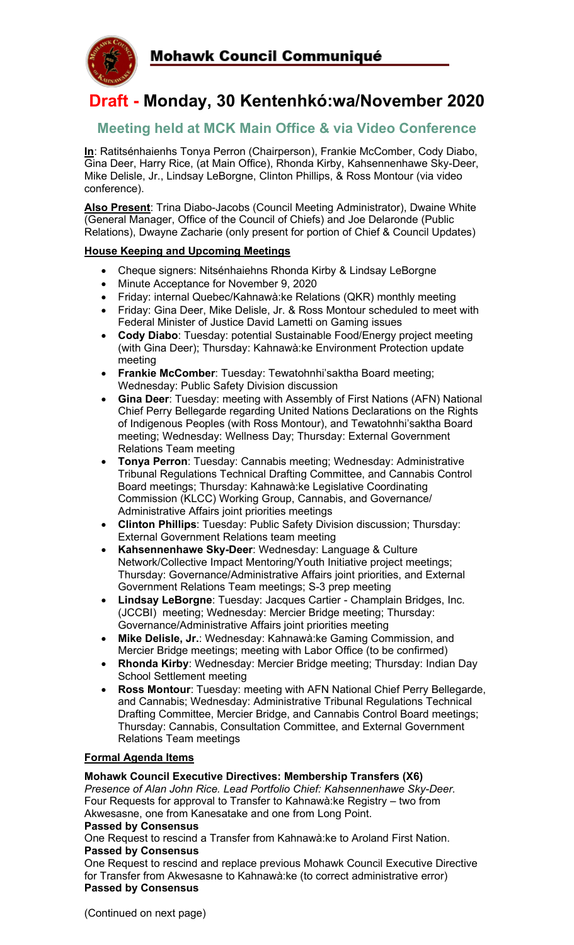

# **Draft - Monday, 30 Kentenhkó:wa/November 2020**

# **Meeting held at MCK Main Office & via Video Conference**

**In**: Ratitsénhaienhs Tonya Perron (Chairperson), Frankie McComber, Cody Diabo, Gina Deer, Harry Rice, (at Main Office), Rhonda Kirby, Kahsennenhawe Sky-Deer, Mike Delisle, Jr., Lindsay LeBorgne, Clinton Phillips, & Ross Montour (via video conference).

**Also Present**: Trina Diabo-Jacobs (Council Meeting Administrator), Dwaine White (General Manager, Office of the Council of Chiefs) and Joe Delaronde (Public Relations), Dwayne Zacharie (only present for portion of Chief & Council Updates)

### **House Keeping and Upcoming Meetings**

- Cheque signers: Nitsénhaiehns Rhonda Kirby & Lindsay LeBorgne
- Minute Acceptance for November 9, 2020
- Friday: internal Quebec/Kahnawà:ke Relations (QKR) monthly meeting
- Friday: Gina Deer, Mike Delisle, Jr. & Ross Montour scheduled to meet with Federal Minister of Justice David Lametti on Gaming issues
- **Cody Diabo**: Tuesday: potential Sustainable Food/Energy project meeting (with Gina Deer); Thursday: Kahnawà:ke Environment Protection update meeting
- **Frankie McComber**: Tuesday: Tewatohnhi'saktha Board meeting; Wednesday: Public Safety Division discussion
- **Gina Deer**: Tuesday: meeting with Assembly of First Nations (AFN) National Chief Perry Bellegarde regarding United Nations Declarations on the Rights of Indigenous Peoples (with Ross Montour), and Tewatohnhi'saktha Board meeting; Wednesday: Wellness Day; Thursday: External Government Relations Team meeting
- **Tonya Perron**: Tuesday: Cannabis meeting; Wednesday: Administrative Tribunal Regulations Technical Drafting Committee, and Cannabis Control Board meetings; Thursday: Kahnawà:ke Legislative Coordinating Commission (KLCC) Working Group, Cannabis, and Governance/ Administrative Affairs joint priorities meetings
- **Clinton Phillips**: Tuesday: Public Safety Division discussion; Thursday: External Government Relations team meeting
- **Kahsennenhawe Sky-Deer**: Wednesday: Language & Culture Network/Collective Impact Mentoring/Youth Initiative project meetings; Thursday: Governance/Administrative Affairs joint priorities, and External Government Relations Team meetings; S-3 prep meeting
- **Lindsay LeBorgne**: Tuesday: Jacques Cartier Champlain Bridges, Inc. (JCCBI) meeting; Wednesday: Mercier Bridge meeting; Thursday: Governance/Administrative Affairs joint priorities meeting
- **Mike Delisle, Jr.**: Wednesday: Kahnawà:ke Gaming Commission, and Mercier Bridge meetings; meeting with Labor Office (to be confirmed)
- **Rhonda Kirby**: Wednesday: Mercier Bridge meeting; Thursday: Indian Day School Settlement meeting
- **Ross Montour**: Tuesday: meeting with AFN National Chief Perry Bellegarde, and Cannabis; Wednesday: Administrative Tribunal Regulations Technical Drafting Committee, Mercier Bridge, and Cannabis Control Board meetings; Thursday: Cannabis, Consultation Committee, and External Government Relations Team meetings

#### **Formal Agenda Items**

#### **Mohawk Council Executive Directives: Membership Transfers (X6)**

*Presence of Alan John Rice. Lead Portfolio Chief: Kahsennenhawe Sky-Deer.*  Four Requests for approval to Transfer to Kahnawà:ke Registry – two from Akwesasne, one from Kanesatake and one from Long Point.

#### **Passed by Consensus**

One Request to rescind a Transfer from Kahnawà:ke to Aroland First Nation. **Passed by Consensus**

One Request to rescind and replace previous Mohawk Council Executive Directive for Transfer from Akwesasne to Kahnawà:ke (to correct administrative error) **Passed by Consensus**